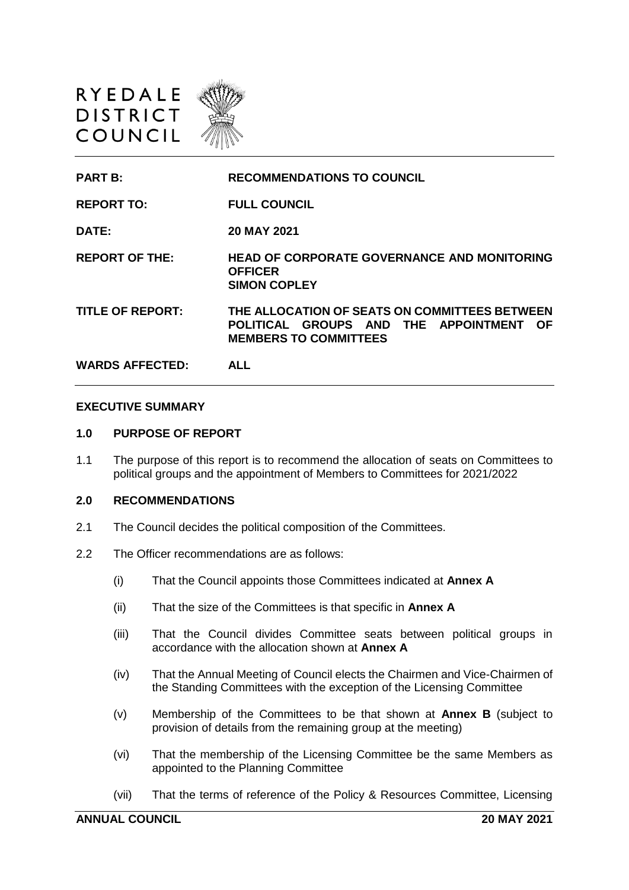

| <b>PART B:</b>          | <b>RECOMMENDATIONS TO COUNCIL</b>                                                                                            |
|-------------------------|------------------------------------------------------------------------------------------------------------------------------|
| <b>REPORT TO:</b>       | <b>FULL COUNCIL</b>                                                                                                          |
| DATE:                   | 20 MAY 2021                                                                                                                  |
| <b>REPORT OF THE:</b>   | <b>HEAD OF CORPORATE GOVERNANCE AND MONITORING</b><br><b>OFFICER</b><br><b>SIMON COPLEY</b>                                  |
| <b>TITLE OF REPORT:</b> | THE ALLOCATION OF SEATS ON COMMITTEES BETWEEN<br>POLITICAL GROUPS AND THE APPOINTMENT<br>-OF<br><b>MEMBERS TO COMMITTEES</b> |
| <b>WARDS AFFECTED:</b>  | ALL                                                                                                                          |

#### **EXECUTIVE SUMMARY**

### **1.0 PURPOSE OF REPORT**

1.1 The purpose of this report is to recommend the allocation of seats on Committees to political groups and the appointment of Members to Committees for 2021/2022

#### **2.0 RECOMMENDATIONS**

- 2.1 The Council decides the political composition of the Committees.
- 2.2 The Officer recommendations are as follows:
	- (i) That the Council appoints those Committees indicated at **Annex A**
	- (ii) That the size of the Committees is that specific in **Annex A**
	- (iii) That the Council divides Committee seats between political groups in accordance with the allocation shown at **Annex A**
	- (iv) That the Annual Meeting of Council elects the Chairmen and Vice-Chairmen of the Standing Committees with the exception of the Licensing Committee
	- (v) Membership of the Committees to be that shown at **Annex B** (subject to provision of details from the remaining group at the meeting)
	- (vi) That the membership of the Licensing Committee be the same Members as appointed to the Planning Committee
	- (vii) That the terms of reference of the Policy & Resources Committee, Licensing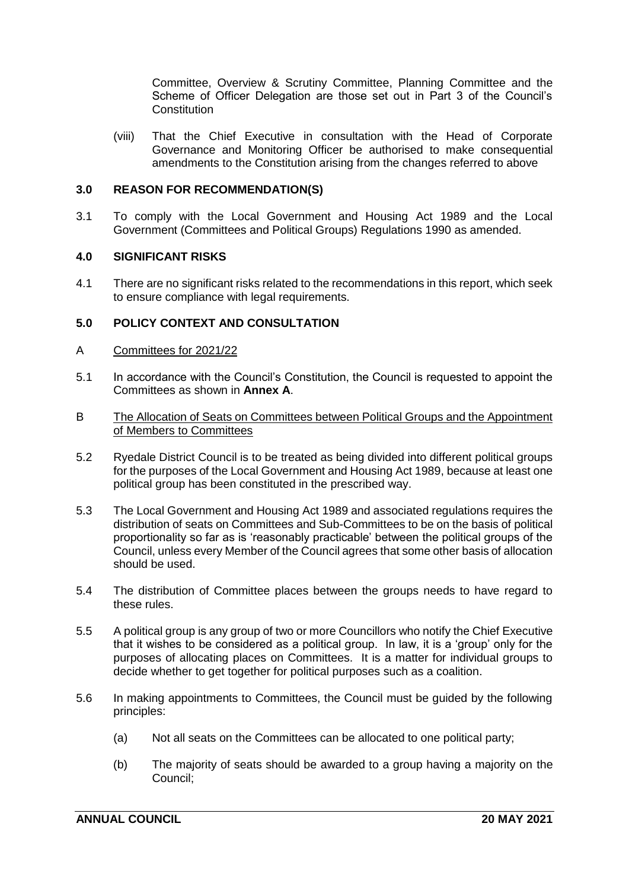Committee, Overview & Scrutiny Committee, Planning Committee and the Scheme of Officer Delegation are those set out in Part 3 of the Council's **Constitution** 

(viii) That the Chief Executive in consultation with the Head of Corporate Governance and Monitoring Officer be authorised to make consequential amendments to the Constitution arising from the changes referred to above

### **3.0 REASON FOR RECOMMENDATION(S)**

3.1 To comply with the Local Government and Housing Act 1989 and the Local Government (Committees and Political Groups) Regulations 1990 as amended.

### **4.0 SIGNIFICANT RISKS**

4.1 There are no significant risks related to the recommendations in this report, which seek to ensure compliance with legal requirements.

## **5.0 POLICY CONTEXT AND CONSULTATION**

### A Committees for 2021/22

- 5.1 In accordance with the Council's Constitution, the Council is requested to appoint the Committees as shown in **Annex A**.
- B The Allocation of Seats on Committees between Political Groups and the Appointment of Members to Committees
- 5.2 Ryedale District Council is to be treated as being divided into different political groups for the purposes of the Local Government and Housing Act 1989, because at least one political group has been constituted in the prescribed way.
- 5.3 The Local Government and Housing Act 1989 and associated regulations requires the distribution of seats on Committees and Sub-Committees to be on the basis of political proportionality so far as is 'reasonably practicable' between the political groups of the Council, unless every Member of the Council agrees that some other basis of allocation should be used.
- 5.4 The distribution of Committee places between the groups needs to have regard to these rules.
- 5.5 A political group is any group of two or more Councillors who notify the Chief Executive that it wishes to be considered as a political group. In law, it is a 'group' only for the purposes of allocating places on Committees. It is a matter for individual groups to decide whether to get together for political purposes such as a coalition.
- 5.6 In making appointments to Committees, the Council must be guided by the following principles:
	- (a) Not all seats on the Committees can be allocated to one political party;
	- (b) The majority of seats should be awarded to a group having a majority on the Council;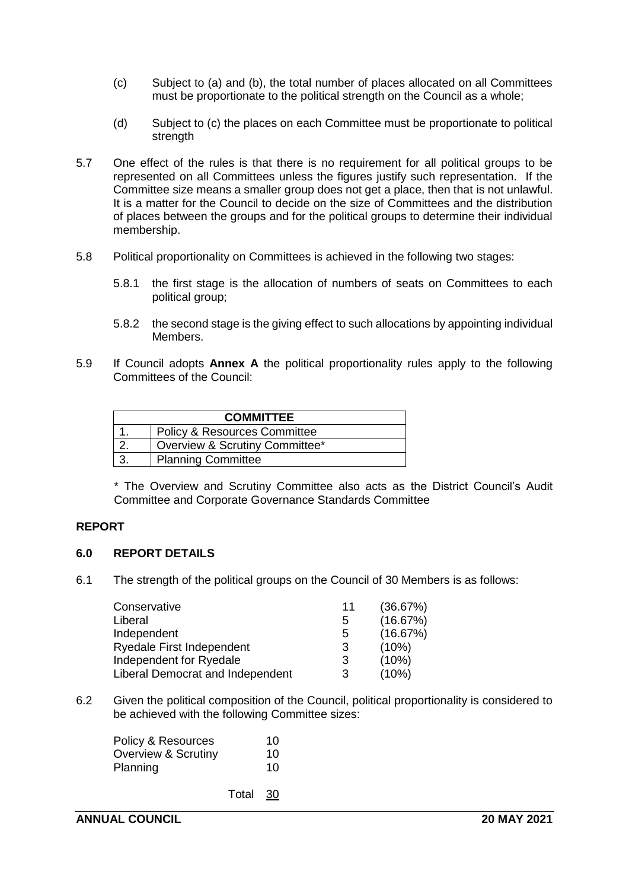- (c) Subject to (a) and (b), the total number of places allocated on all Committees must be proportionate to the political strength on the Council as a whole;
- (d) Subject to (c) the places on each Committee must be proportionate to political strength
- 5.7 One effect of the rules is that there is no requirement for all political groups to be represented on all Committees unless the figures justify such representation. If the Committee size means a smaller group does not get a place, then that is not unlawful. It is a matter for the Council to decide on the size of Committees and the distribution of places between the groups and for the political groups to determine their individual membership.
- 5.8 Political proportionality on Committees is achieved in the following two stages:
	- 5.8.1 the first stage is the allocation of numbers of seats on Committees to each political group;
	- 5.8.2 the second stage is the giving effect to such allocations by appointing individual Members.
- 5.9 If Council adopts **Annex A** the political proportionality rules apply to the following Committees of the Council:

| <b>COMMITTEE</b> |                                         |  |  |  |
|------------------|-----------------------------------------|--|--|--|
|                  | <b>Policy &amp; Resources Committee</b> |  |  |  |
|                  | Overview & Scrutiny Committee*          |  |  |  |
|                  | <b>Planning Committee</b>               |  |  |  |

\* The Overview and Scrutiny Committee also acts as the District Council's Audit Committee and Corporate Governance Standards Committee

## **REPORT**

### **6.0 REPORT DETAILS**

6.1 The strength of the political groups on the Council of 30 Members is as follows:

| Conservative                     | 11 | (36.67%) |
|----------------------------------|----|----------|
| Liberal                          | 5  | (16.67%) |
| Independent                      | 5  | (16.67%) |
| <b>Ryedale First Independent</b> | 3  | (10%)    |
| Independent for Ryedale          | 3  | (10%)    |
| Liberal Democrat and Independent | 3  | (10%)    |

6.2 Given the political composition of the Council, political proportionality is considered to be achieved with the following Committee sizes:

| Policy & Resources             |          | 10 |
|--------------------------------|----------|----|
| <b>Overview &amp; Scrutiny</b> |          | 10 |
| Planning                       |          | 10 |
|                                | Total 30 |    |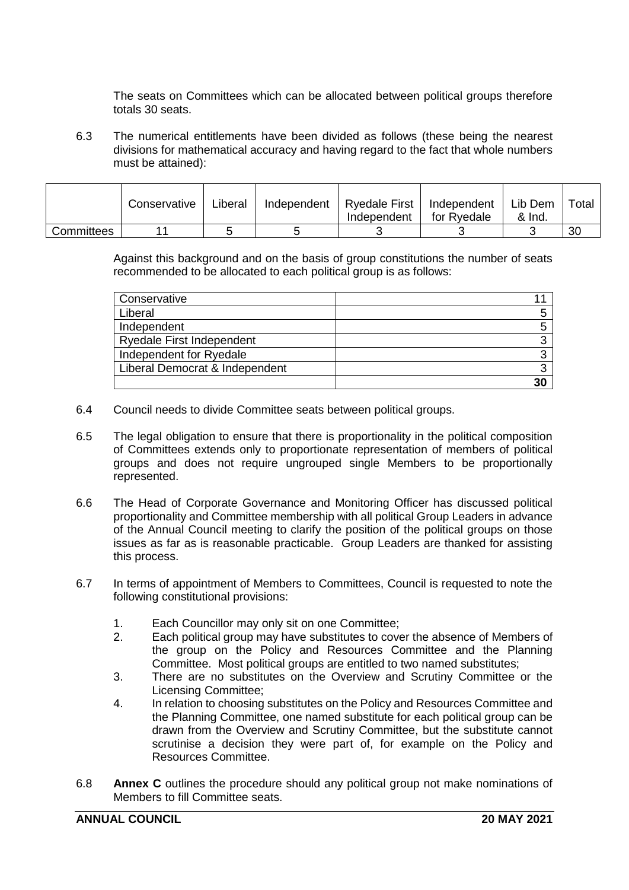The seats on Committees which can be allocated between political groups therefore totals 30 seats.

6.3 The numerical entitlements have been divided as follows (these being the nearest divisions for mathematical accuracy and having regard to the fact that whole numbers must be attained):

|            | Conservative | Liberal | Independent | <b>Ryedale First</b><br>Independent | Independent<br>for Ryedale | Lib Dem<br>& Ind. | Total |
|------------|--------------|---------|-------------|-------------------------------------|----------------------------|-------------------|-------|
| Committees |              |         |             |                                     |                            |                   | 30    |

Against this background and on the basis of group constitutions the number of seats recommended to be allocated to each political group is as follows:

| Conservative                     |    |
|----------------------------------|----|
|                                  |    |
| Liberal                          |    |
|                                  |    |
| Independent                      |    |
|                                  |    |
| <b>Ryedale First Independent</b> |    |
|                                  |    |
| Independent for Ryedale          |    |
|                                  |    |
| Liberal Democrat & Independent   |    |
|                                  |    |
|                                  | 30 |
|                                  |    |

- 6.4 Council needs to divide Committee seats between political groups.
- 6.5 The legal obligation to ensure that there is proportionality in the political composition of Committees extends only to proportionate representation of members of political groups and does not require ungrouped single Members to be proportionally represented.
- 6.6 The Head of Corporate Governance and Monitoring Officer has discussed political proportionality and Committee membership with all political Group Leaders in advance of the Annual Council meeting to clarify the position of the political groups on those issues as far as is reasonable practicable. Group Leaders are thanked for assisting this process.
- 6.7 In terms of appointment of Members to Committees, Council is requested to note the following constitutional provisions:
	- 1. Each Councillor may only sit on one Committee;
	- 2. Each political group may have substitutes to cover the absence of Members of the group on the Policy and Resources Committee and the Planning Committee. Most political groups are entitled to two named substitutes;
	- 3. There are no substitutes on the Overview and Scrutiny Committee or the Licensing Committee;
	- 4. In relation to choosing substitutes on the Policy and Resources Committee and the Planning Committee, one named substitute for each political group can be drawn from the Overview and Scrutiny Committee, but the substitute cannot scrutinise a decision they were part of, for example on the Policy and Resources Committee.
- 6.8 **Annex C** outlines the procedure should any political group not make nominations of Members to fill Committee seats.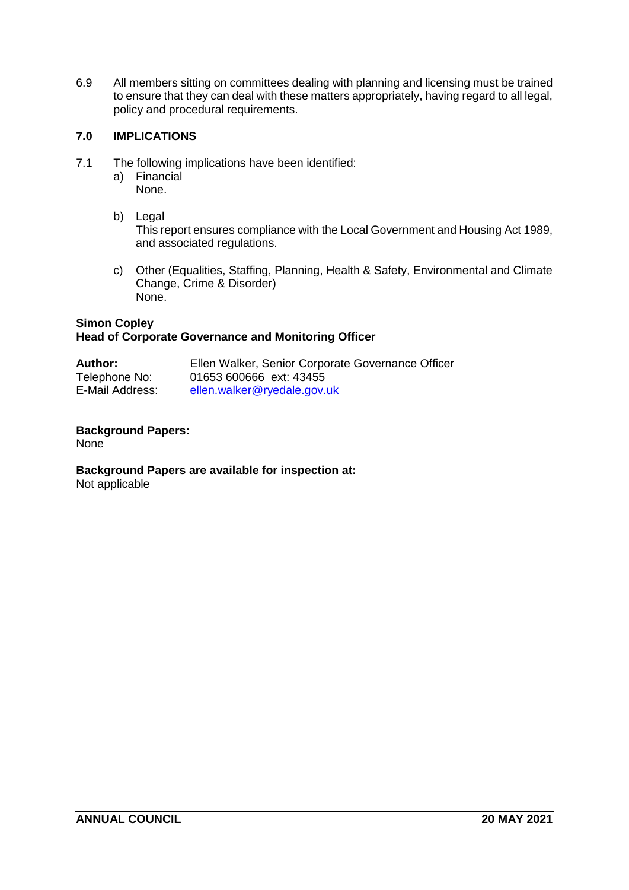6.9 All members sitting on committees dealing with planning and licensing must be trained to ensure that they can deal with these matters appropriately, having regard to all legal, policy and procedural requirements.

## **7.0 IMPLICATIONS**

- 7.1 The following implications have been identified:
	- a) Financial None.
	- b) Legal

This report ensures compliance with the Local Government and Housing Act 1989, and associated regulations.

c) Other (Equalities, Staffing, Planning, Health & Safety, Environmental and Climate Change, Crime & Disorder) None.

### **Simon Copley Head of Corporate Governance and Monitoring Officer**

| <b>Author:</b>  | Ellen Walker, Senior Corporate Governance Officer |
|-----------------|---------------------------------------------------|
| Telephone No:   | 01653 600666 ext: 43455                           |
| E-Mail Address: | ellen.walker@ryedale.gov.uk                       |

# **Background Papers:**

None

# **Background Papers are available for inspection at:**

Not applicable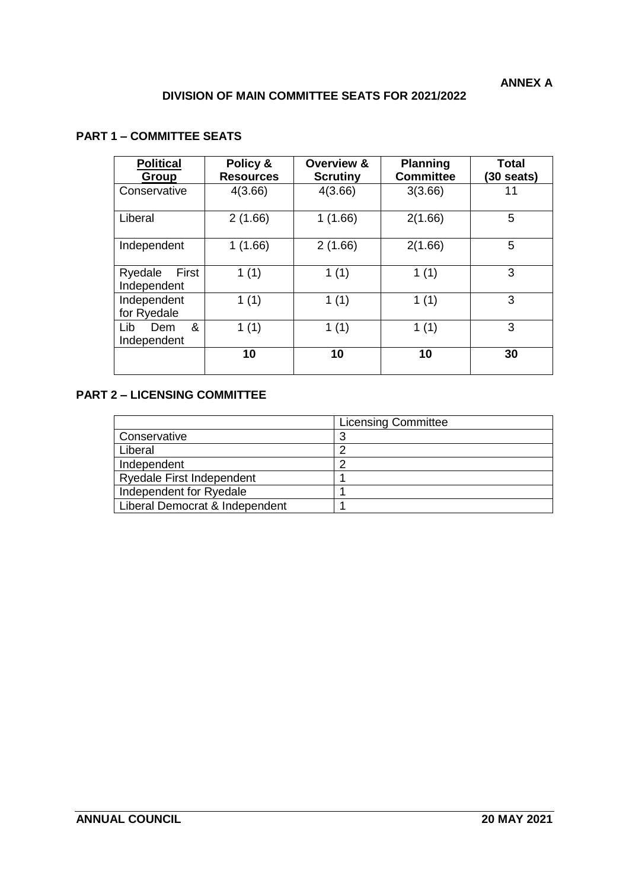## **DIVISION OF MAIN COMMITTEE SEATS FOR 2021/2022**

## **PART 1 – COMMITTEE SEATS**

| <b>Political</b><br>Group       | Policy &<br><b>Resources</b> | Overview &<br><b>Scrutiny</b> | <b>Planning</b><br><b>Committee</b> | Total<br>$(30 \text{ seats})$ |
|---------------------------------|------------------------------|-------------------------------|-------------------------------------|-------------------------------|
| Conservative                    | 4(3.66)                      | 4(3.66)                       | 3(3.66)                             | 11                            |
| Liberal                         | 2(1.66)                      | 1(1.66)                       | 2(1.66)                             | 5                             |
| Independent                     | 1(1.66)                      | 2(1.66)                       | 2(1.66)                             | 5                             |
| First<br>Ryedale<br>Independent | 1(1)                         | 1(1)                          | 1(1)                                | 3                             |
| Independent<br>for Ryedale      | 1(1)                         | 1(1)                          | 1(1)                                | 3                             |
| Lib<br>&<br>Dem<br>Independent  | 1(1)                         | 1(1)                          | 1(1)                                | 3                             |
|                                 | 10                           | 10                            | 10                                  | 30                            |

## **PART 2 – LICENSING COMMITTEE**

|                                  | <b>Licensing Committee</b> |
|----------------------------------|----------------------------|
| Conservative                     |                            |
| Liberal                          |                            |
| Independent                      |                            |
| <b>Ryedale First Independent</b> |                            |
| Independent for Ryedale          |                            |
| Liberal Democrat & Independent   |                            |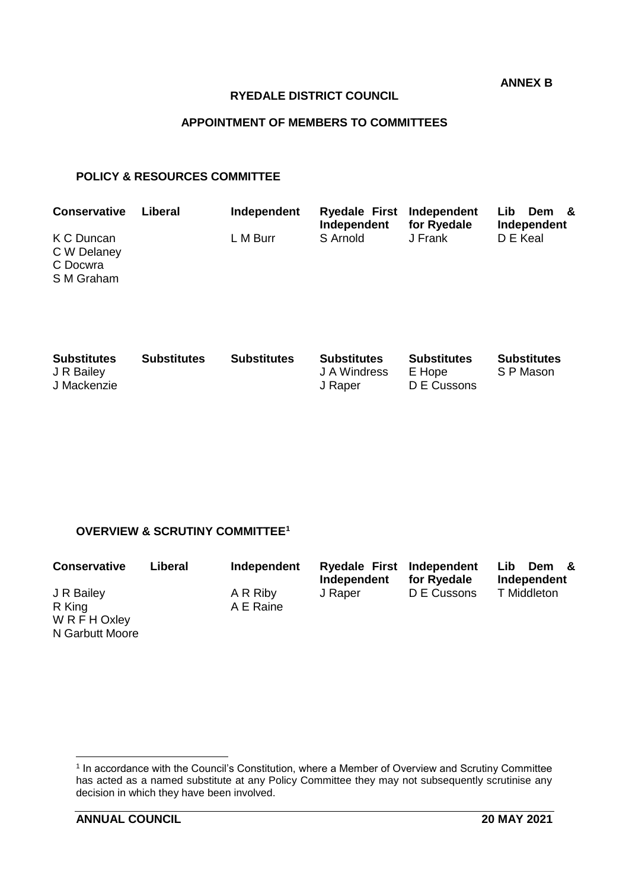**ANNEX B**

### **RYEDALE DISTRICT COUNCIL**

## **APPOINTMENT OF MEMBERS TO COMMITTEES**

### **POLICY & RESOURCES COMMITTEE**

| <b>Conservative</b>                                 | Liberal | Independent | Ryedale First Independent<br>Independent | for Ryedale | Lib.<br>Dem &<br>Independent |
|-----------------------------------------------------|---------|-------------|------------------------------------------|-------------|------------------------------|
| K C Duncan<br>C W Delaney<br>C Docwra<br>S M Graham |         | L M Burr    | S Arnold                                 | J Frank     | D E Keal                     |

| <b>Substitutes</b><br>J R Bailey<br>J Mackenzie | <b>Substitutes</b> | <b>Substitutes</b> | <b>Substitutes</b><br>J A Windress<br>J Raper | Substitutes<br>E Hope<br>D E Cussons | <b>Substitutes</b><br>S P Mason |
|-------------------------------------------------|--------------------|--------------------|-----------------------------------------------|--------------------------------------|---------------------------------|
|                                                 |                    |                    |                                               |                                      |                                 |

## **OVERVIEW & SCRUTINY COMMITTEE<sup>1</sup>**

| <b>Conservative</b> | Liberal | Independent | Ryedale First Independent<br>Independent | for Ryedale | Lib<br>Dem &<br>Independent |
|---------------------|---------|-------------|------------------------------------------|-------------|-----------------------------|
| J R Bailey          |         | A R Riby    | J Raper                                  | D E Cussons | T Middleton                 |
| R King              |         | A E Raine   |                                          |             |                             |
| W R F H Oxley       |         |             |                                          |             |                             |
| N Garbutt Moore     |         |             |                                          |             |                             |

 1 In accordance with the Council's Constitution, where a Member of Overview and Scrutiny Committee has acted as a named substitute at any Policy Committee they may not subsequently scrutinise any decision in which they have been involved.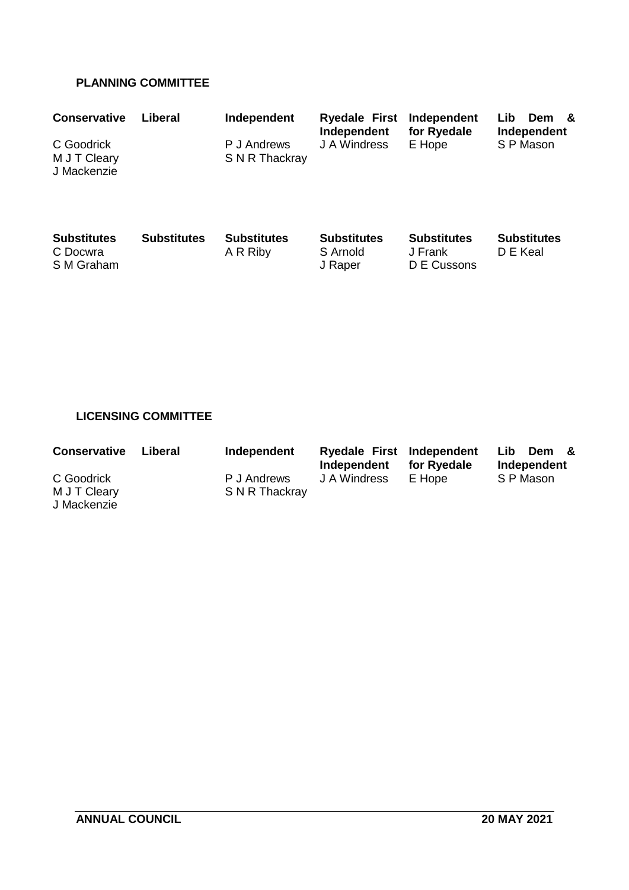## **PLANNING COMMITTEE**

| <b>Conservative</b>                          | Liberal            | Independent                    | <b>Ryedale First</b><br>Independent       | Independent<br>for Ryedale                   | Lib<br><b>Dem</b><br>- &<br>Independent |
|----------------------------------------------|--------------------|--------------------------------|-------------------------------------------|----------------------------------------------|-----------------------------------------|
| C Goodrick<br>M J T Cleary<br>J Mackenzie    |                    | P J Andrews<br>S N R Thackray  | J A Windress                              | E Hope                                       | S P Mason                               |
| <b>Substitutes</b><br>C Docwra<br>S M Graham | <b>Substitutes</b> | <b>Substitutes</b><br>A R Riby | <b>Substitutes</b><br>S Arnold<br>J Raper | <b>Substitutes</b><br>J Frank<br>D E Cussons | <b>Substitutes</b><br>D E Keal          |

# **LICENSING COMMITTEE**

| <b>Conservative</b> | Liberal | Independent    | Ryedale First Independent<br>Independent | for Ryedale | Lib.<br>Dem &<br>Independent |
|---------------------|---------|----------------|------------------------------------------|-------------|------------------------------|
| C Goodrick          |         | P J Andrews    | J A Windress                             | E Hope      | S P Mason                    |
| M J T Cleary        |         | S N R Thackray |                                          |             |                              |
| J Mackenzie         |         |                |                                          |             |                              |